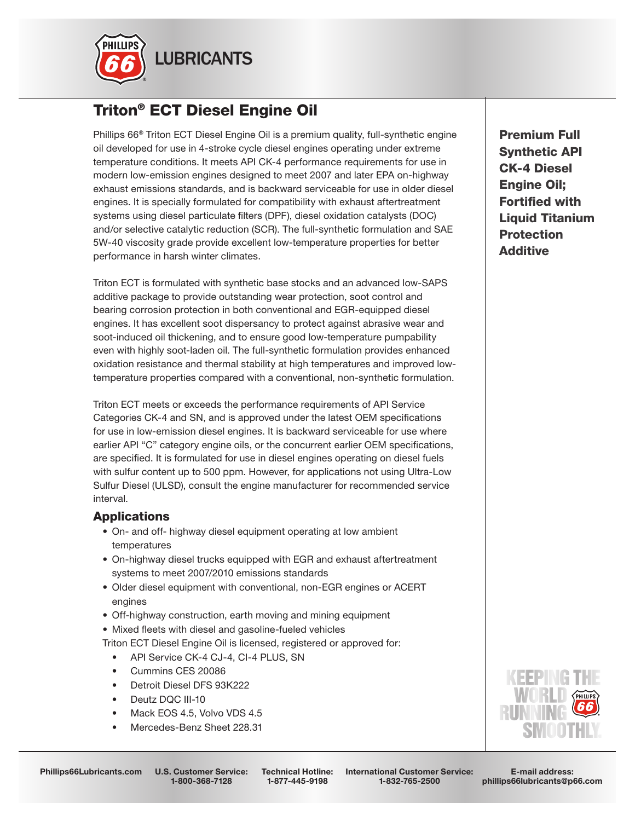

# Triton® ECT Diesel Engine Oil

Phillips 66® Triton ECT Diesel Engine Oil is a premium quality, full-synthetic engine oil developed for use in 4-stroke cycle diesel engines operating under extreme temperature conditions. It meets API CK-4 performance requirements for use in modern low-emission engines designed to meet 2007 and later EPA on-highway exhaust emissions standards, and is backward serviceable for use in older diesel engines. It is specially formulated for compatibility with exhaust aftertreatment systems using diesel particulate filters (DPF), diesel oxidation catalysts (DOC) and/or selective catalytic reduction (SCR). The full-synthetic formulation and SAE 5W-40 viscosity grade provide excellent low-temperature properties for better performance in harsh winter climates.

Triton ECT is formulated with synthetic base stocks and an advanced low-SAPS additive package to provide outstanding wear protection, soot control and bearing corrosion protection in both conventional and EGR-equipped diesel engines. It has excellent soot dispersancy to protect against abrasive wear and soot-induced oil thickening, and to ensure good low-temperature pumpability even with highly soot-laden oil. The full-synthetic formulation provides enhanced oxidation resistance and thermal stability at high temperatures and improved lowtemperature properties compared with a conventional, non-synthetic formulation.

Triton ECT meets or exceeds the performance requirements of API Service Categories CK-4 and SN, and is approved under the latest OEM specifications for use in low-emission diesel engines. It is backward serviceable for use where earlier API "C" category engine oils, or the concurrent earlier OEM specifications, are specified. It is formulated for use in diesel engines operating on diesel fuels with sulfur content up to 500 ppm. However, for applications not using Ultra-Low Sulfur Diesel (ULSD), consult the engine manufacturer for recommended service interval.

## Applications

- On- and off- highway diesel equipment operating at low ambient temperatures
- On-highway diesel trucks equipped with EGR and exhaust aftertreatment systems to meet 2007/2010 emissions standards
- Older diesel equipment with conventional, non-EGR engines or ACERT engines
- Off-highway construction, earth moving and mining equipment
- Mixed fleets with diesel and gasoline-fueled vehicles

Triton ECT Diesel Engine Oil is licensed, registered or approved for:

- API Service CK-4 CJ-4, CI-4 PLUS, SN
- Cummins CES 20086
- Detroit Diesel DFS 93K222
- Deutz DQC III-10
- Mack EOS 4.5, Volvo VDS 4.5
- Mercedes-Benz Sheet 228.31

Premium Full Synthetic API CK-4 Diesel Engine Oil; Fortified with Liquid Titanium **Protection Additive** 



1-800-368-7128

Technical Hotline: 1-877-445-9198

International Customer Service: 1-832-765-2500

E-mail address: phillips66lubricants@p66.com